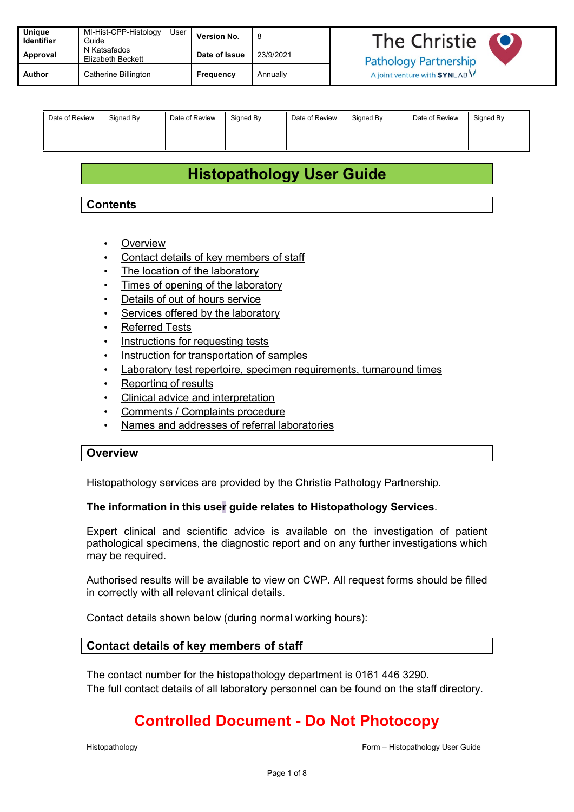| Unique<br><b>Identifier</b> | MI-Hist-CPP-Histology<br>User<br>Guide | <b>Version No.</b> |           | The Christie                  |  |
|-----------------------------|----------------------------------------|--------------------|-----------|-------------------------------|--|
| Approval                    | N Katsafados<br>Elizabeth Beckett      | Date of Issue      | 23/9/2021 | <b>Pathology Partnership</b>  |  |
| Author                      | Catherine Billington                   | Frequency          | Annually  | A joint venture with $SYNLAB$ |  |

| Date of Review | Signed By | Date of Review | Signed By | Date of Review | Signed By | Date of Review | Signed By |
|----------------|-----------|----------------|-----------|----------------|-----------|----------------|-----------|
|                |           |                |           |                |           |                |           |
|                |           |                |           |                |           |                |           |

# **Histopathology User Guide**

## **Contents**

- **Overview**
- [Contact details of key members of staff](#page-0-0)
- [The location of the laboratory](#page-1-0)
- [Times of opening of the laboratory](#page-2-0)
- Details of out of hours service
- [Services offered by the laboratory](#page-2-1)
- Referred Tests
- [Instructions for requesting tests](#page-2-2)
- [Instruction for transportation of samples](#page-4-0)
- **[Laboratory test repertoire, specimen requirements, turnaround](#page-7-0) times**
- [Reporting of results](#page-4-1)
- [Clinical advice and interpretation](#page-5-0)
- [Comments / Complaints procedure](#page-5-1)
- Names and addresses of referral laboratories

### **Overview**

Histopathology services are provided by the Christie Pathology Partnership.

### **The information in this user guide relates to Histopathology Services**.

Expert clinical and scientific advice is available on the investigation of patient pathological specimens, the diagnostic report and on any further investigations which may be required.

Authorised results will be available to view on CWP. All request forms should be filled in correctly with all relevant clinical details.

Contact details shown below (during normal working hours):

### <span id="page-0-0"></span>**Contact details of key members of staff**

The contact number for the histopathology department is 0161 446 3290. The full contact details of all laboratory personnel can be found on the staff directory.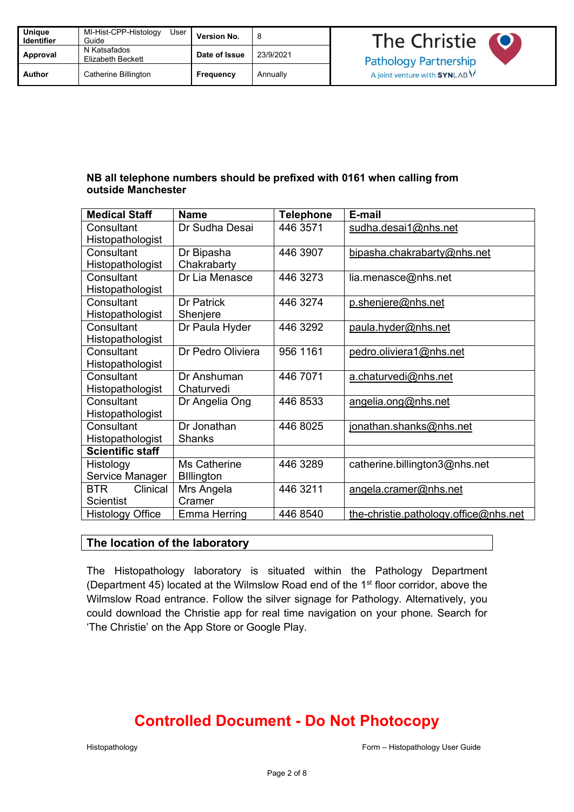| Unique<br><b>Identifier</b> | MI-Hist-CPP-Histology<br>User<br>Guide   | <b>Version No.</b> | 8         |
|-----------------------------|------------------------------------------|--------------------|-----------|
| Approval                    | N Katsafados<br><b>Elizabeth Beckett</b> | Date of Issue      | 23/9/2021 |
| Author                      | Catherine Billington                     | Frequency          | Annually  |

## **NB all telephone numbers should be prefixed with 0161 when calling from outside Manchester**

| <b>Medical Staff</b>    | <b>Name</b>       | <b>Telephone</b> | E-mail                                |  |
|-------------------------|-------------------|------------------|---------------------------------------|--|
| Consultant              | Dr Sudha Desai    | 446 3571         | sudha.desai1@nhs.net                  |  |
| Histopathologist        |                   |                  |                                       |  |
| Consultant              | Dr Bipasha        | 446 3907         | bipasha.chakrabarty@nhs.net           |  |
| Histopathologist        | Chakrabarty       |                  |                                       |  |
| Consultant              | Dr Lia Menasce    | 446 3273         | lia.menasce@nhs.net                   |  |
| Histopathologist        |                   |                  |                                       |  |
| Consultant              | Dr Patrick        | 446 3274         | p.shenjere@nhs.net                    |  |
| Histopathologist        | Shenjere          |                  |                                       |  |
| Consultant              | Dr Paula Hyder    | 446 3292         | paula.hyder@nhs.net                   |  |
| Histopathologist        |                   |                  |                                       |  |
| Consultant              | Dr Pedro Oliviera | 956 1161         | pedro.oliviera1@nhs.net               |  |
| Histopathologist        |                   |                  |                                       |  |
| Consultant              | Dr Anshuman       | 446 7071         | a.chaturvedi@nhs.net                  |  |
| Histopathologist        | Chaturvedi        |                  |                                       |  |
| Consultant              | Dr Angelia Ong    | 446 8533         | angelia.ong@nhs.net                   |  |
| Histopathologist        |                   |                  |                                       |  |
| Consultant              | Dr Jonathan       | 446 8025         | jonathan.shanks@nhs.net               |  |
| Histopathologist        | <b>Shanks</b>     |                  |                                       |  |
| <b>Scientific staff</b> |                   |                  |                                       |  |
| Histology               | Ms Catherine      | 446 3289         | catherine.billington3@nhs.net         |  |
| Service Manager         | <b>Billington</b> |                  |                                       |  |
| <b>BTR</b><br>Clinical  | Mrs Angela        | 446 3211         | angela.cramer@nhs.net                 |  |
| <b>Scientist</b>        | Cramer            |                  |                                       |  |
| <b>Histology Office</b> | Emma Herring      | 446 8540         | the-christie.pathology.office@nhs.net |  |

### <span id="page-1-0"></span>**The location of the laboratory**

The Histopathology laboratory is situated within the Pathology Department (Department 45) located at the Wilmslow Road end of the 1<sup>st</sup> floor corridor, above the Wilmslow Road entrance. Follow the silver signage for Pathology. Alternatively, you could download the Christie app for real time navigation on your phone. Search for 'The Christie' on the App Store or Google Play.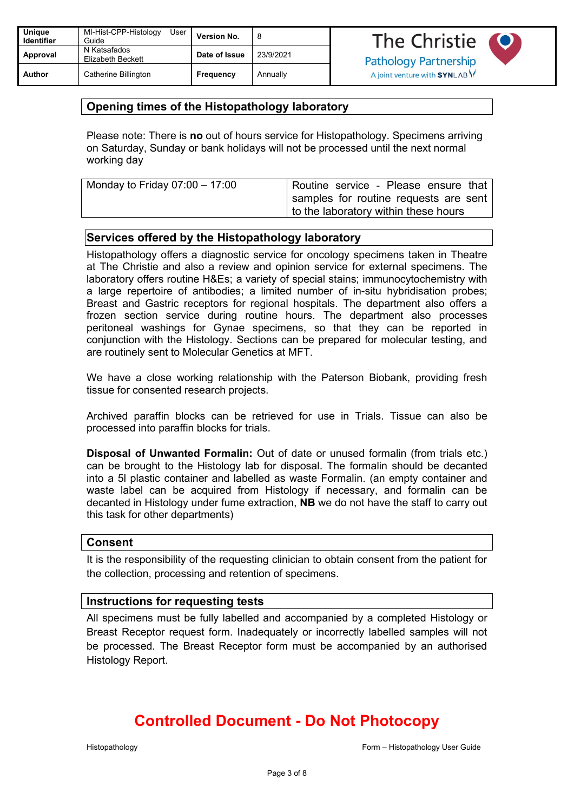| Unique<br><b>Identifier</b> | MI-Hist-CPP-Histology<br>User<br>Guide | Version No.   | 8         | The Christie                 |  |
|-----------------------------|----------------------------------------|---------------|-----------|------------------------------|--|
| Approval                    | N Katsafados<br>Elizabeth Beckett      | Date of Issue | 23/9/2021 | <b>Pathology Partnership</b> |  |
| <b>Author</b>               | Catherine Billington                   | Frequency     | Annually  | A joint venture with SYNLABY |  |

## <span id="page-2-0"></span>**Opening times of the Histopathology laboratory**

Please note: There is **no** out of hours service for Histopathology. Specimens arriving on Saturday, Sunday or bank holidays will not be processed until the next normal working day

| Monday to Friday 07:00 $-$ 17:00 | Routine service - Please ensure that     |
|----------------------------------|------------------------------------------|
|                                  | I samples for routine requests are sent, |
|                                  | to the laboratory within these hours     |

### **Services offered by the Histopathology laboratory**

Histopathology offers a diagnostic service for oncology specimens taken in Theatre at The Christie and also a review and opinion service for external specimens. The laboratory offers routine H&Es; a variety of special stains; immunocytochemistry with a large repertoire of antibodies; a limited number of in-situ hybridisation probes; Breast and Gastric receptors for regional hospitals. The department also offers a frozen section service during routine hours. The department also processes peritoneal washings for Gynae specimens, so that they can be reported in conjunction with the Histology. Sections can be prepared for molecular testing, and are routinely sent to Molecular Genetics at MFT.

We have a close working relationship with the Paterson Biobank, providing fresh tissue for consented research projects.

Archived paraffin blocks can be retrieved for use in Trials. Tissue can also be processed into paraffin blocks for trials.

**Disposal of Unwanted Formalin:** Out of date or unused formalin (from trials etc.) can be brought to the Histology lab for disposal. The formalin should be decanted into a 5l plastic container and labelled as waste Formalin. (an empty container and waste label can be acquired from Histology if necessary, and formalin can be decanted in Histology under fume extraction, **NB** we do not have the staff to carry out this task for other departments)

### <span id="page-2-1"></span>**Consent**

It is the responsibility of the requesting clinician to obtain consent from the patient for the collection, processing and retention of specimens.

### <span id="page-2-2"></span>**Instructions for requesting tests**

All specimens must be fully labelled and accompanied by a completed Histology or Breast Receptor request form. Inadequately or incorrectly labelled samples will not be processed. The Breast Receptor form must be accompanied by an authorised Histology Report.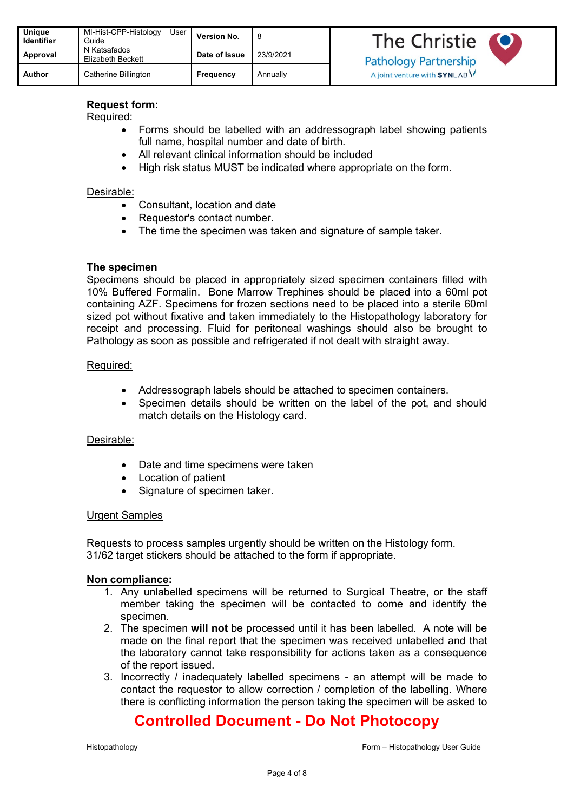| Unique<br><b>Identifier</b> | MI-Hist-CPP-Histology<br>User<br>Guide | <b>Version No.</b> | 8         |
|-----------------------------|----------------------------------------|--------------------|-----------|
| Approval                    | N Katsafados<br>Elizabeth Beckett      | Date of Issue      | 23/9/2021 |
| Author                      | Catherine Billington                   | Frequency          | Annually  |

## **Request form:**

Required:

- Forms should be labelled with an addressograph label showing patients full name, hospital number and date of birth.
- All relevant clinical information should be included
- High risk status MUST be indicated where appropriate on the form.

### Desirable:

- Consultant, location and date
- Requestor's contact number.
- The time the specimen was taken and signature of sample taker.

### **The specimen**

Specimens should be placed in appropriately sized specimen containers filled with 10% Buffered Formalin. Bone Marrow Trephines should be placed into a 60ml pot containing AZF. Specimens for frozen sections need to be placed into a sterile 60ml sized pot without fixative and taken immediately to the Histopathology laboratory for receipt and processing. Fluid for peritoneal washings should also be brought to Pathology as soon as possible and refrigerated if not dealt with straight away.

### Required:

- Addressograph labels should be attached to specimen containers.
- Specimen details should be written on the label of the pot, and should match details on the Histology card.

### Desirable:

- Date and time specimens were taken
- Location of patient
- Signature of specimen taker.

### Urgent Samples

Requests to process samples urgently should be written on the Histology form. 31/62 target stickers should be attached to the form if appropriate.

### **Non compliance:**

- 1. Any unlabelled specimens will be returned to Surgical Theatre, or the staff member taking the specimen will be contacted to come and identify the specimen.
- 2. The specimen **will not** be processed until it has been labelled. A note will be made on the final report that the specimen was received unlabelled and that the laboratory cannot take responsibility for actions taken as a consequence of the report issued.
- 3. Incorrectly / inadequately labelled specimens an attempt will be made to contact the requestor to allow correction / completion of the labelling. Where there is conflicting information the person taking the specimen will be asked to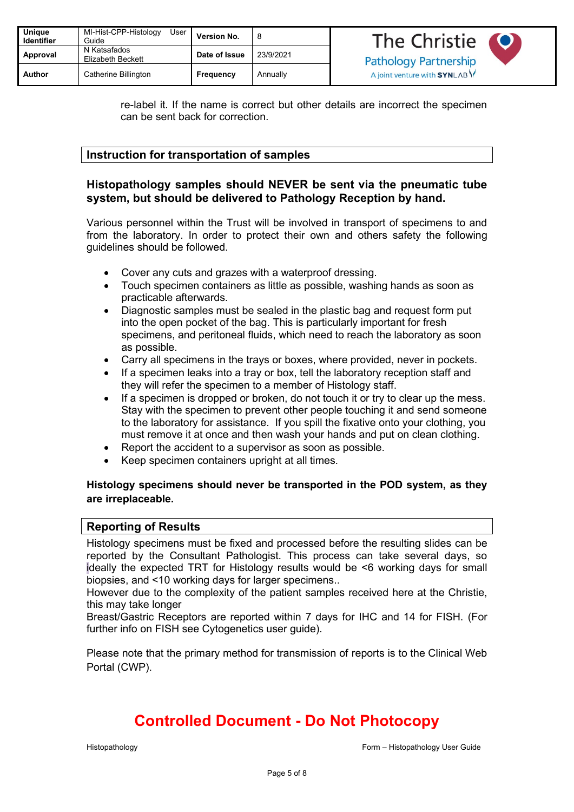| Unique<br><b>Identifier</b> | MI-Hist-CPP-Histology<br>User I<br>Guide | Version No.   |           | The Christie                  |  |
|-----------------------------|------------------------------------------|---------------|-----------|-------------------------------|--|
| Approval                    | N Katsafados<br>Elizabeth Beckett        | Date of Issue | 23/9/2021 | <b>Pathology Partnership</b>  |  |
| Author                      | Catherine Billington                     | Frequency     | Annually  | A joint venture with SYNLAB Y |  |

re-label it. If the name is correct but other details are incorrect the specimen can be sent back for correction.

## <span id="page-4-0"></span>**Instruction for transportation of samples**

## **Histopathology samples should NEVER be sent via the pneumatic tube system, but should be delivered to Pathology Reception by hand.**

Various personnel within the Trust will be involved in transport of specimens to and from the laboratory. In order to protect their own and others safety the following guidelines should be followed.

- Cover any cuts and grazes with a waterproof dressing.
- Touch specimen containers as little as possible, washing hands as soon as practicable afterwards.
- Diagnostic samples must be sealed in the plastic bag and request form put into the open pocket of the bag. This is particularly important for fresh specimens, and peritoneal fluids, which need to reach the laboratory as soon as possible.
- Carry all specimens in the trays or boxes, where provided, never in pockets.
- If a specimen leaks into a tray or box, tell the laboratory reception staff and they will refer the specimen to a member of Histology staff.
- If a specimen is dropped or broken, do not touch it or try to clear up the mess. Stay with the specimen to prevent other people touching it and send someone to the laboratory for assistance. If you spill the fixative onto your clothing, you must remove it at once and then wash your hands and put on clean clothing.
- Report the accident to a supervisor as soon as possible.
- Keep specimen containers upright at all times.

### **Histology specimens should never be transported in the POD system, as they are irreplaceable.**

### <span id="page-4-1"></span>**Reporting of Results**

Histology specimens must be fixed and processed before the resulting slides can be reported by the Consultant Pathologist. This process can take several days, so ideally the expected TRT for Histology results would be <6 working days for small biopsies, and <10 working days for larger specimens..

However due to the complexity of the patient samples received here at the Christie, this may take longer

Breast/Gastric Receptors are reported within 7 days for IHC and 14 for FISH. (For further info on FISH see Cytogenetics user guide).

Please note that the primary method for transmission of reports is to the Clinical Web Portal (CWP).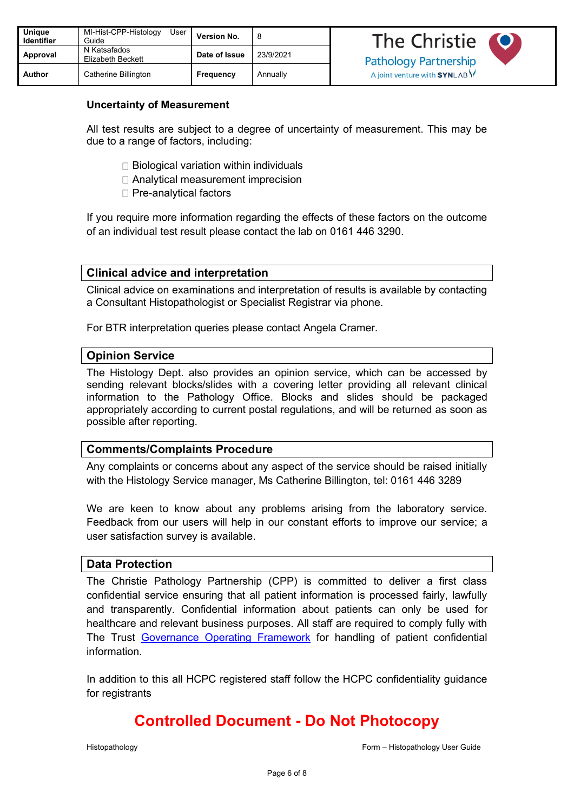| <b>Unique</b><br><b>Identifier</b> | MI-Hist-CPP-Histology<br>User<br>Guide | <b>Version No.</b> | 8         |
|------------------------------------|----------------------------------------|--------------------|-----------|
| Approval                           | N Katsafados<br>Elizabeth Beckett      | Date of Issue      | 23/9/2021 |
| Author                             | Catherine Billington                   | <b>Frequency</b>   | Annually  |

### **Uncertainty of Measurement**

All test results are subject to a degree of uncertainty of measurement. This may be due to a range of factors, including:

- $\Box$  Biological variation within individuals
- □ Analytical measurement imprecision
- $\Box$  Pre-analytical factors

If you require more information regarding the effects of these factors on the outcome of an individual test result please contact the lab on 0161 446 3290.

### <span id="page-5-0"></span>**Clinical advice and interpretation**

Clinical advice on examinations and interpretation of results is available by contacting a Consultant Histopathologist or Specialist Registrar via phone.

For BTR interpretation queries please contact Angela Cramer.

### **Opinion Service**

The Histology Dept. also provides an opinion service, which can be accessed by sending relevant blocks/slides with a covering letter providing all relevant clinical information to the Pathology Office. Blocks and slides should be packaged appropriately according to current postal regulations, and will be returned as soon as possible after reporting.

### <span id="page-5-1"></span>**Comments/Complaints Procedure**

Any complaints or concerns about any aspect of the service should be raised initially with the Histology Service manager, Ms Catherine Billington, tel: 0161 446 3289

We are keen to know about any problems arising from the laboratory service. Feedback from our users will help in our constant efforts to improve our service; a user satisfaction survey is available.

### **Data Protection**

The Christie Pathology Partnership (CPP) is committed to deliver a first class confidential service ensuring that all patient information is processed fairly, lawfully and transparently. Confidential information about patients can only be used for healthcare and relevant business purposes. All staff are required to comply fully with The Trust [Governance Operating Framework](https://hive.xchristie.nhs.uk/Interact/Pages/Content/Document.aspx?id=1622&SearchId=510968) for handling of patient confidential information.

In addition to this all HCPC registered staff follow the HCPC confidentiality guidance for registrants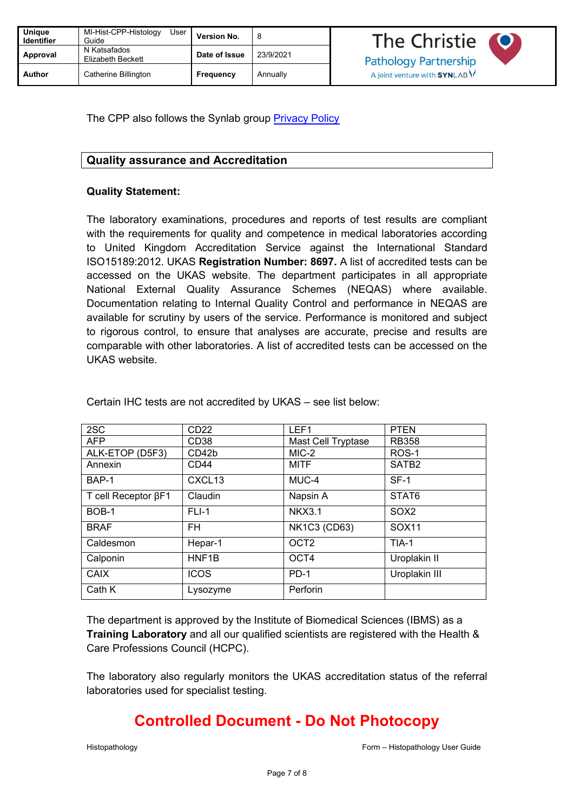| <b>Unique</b><br><b>Identifier</b> | MI-Hist-CPP-Histology<br>User<br>Guide | <b>Version No.</b> | 8         |
|------------------------------------|----------------------------------------|--------------------|-----------|
| Approval                           | N Katsafados<br>Elizabeth Beckett      | Date of Issue      | 23/9/2021 |
| Author                             | Catherine Billington                   | <b>Frequency</b>   | Annually  |

The CPP also follows the Synlab group **Privacy Policy** 

### **Quality assurance and Accreditation**

### **Quality Statement:**

The laboratory examinations, procedures and reports of test results are compliant with the requirements for quality and competence in medical laboratories according to United Kingdom Accreditation Service against the International Standard ISO15189:2012. UKAS **Registration Number: 8697.** A list of accredited tests can be accessed on the UKAS website. The department participates in all appropriate National External Quality Assurance Schemes (NEQAS) where available. Documentation relating to Internal Quality Control and performance in NEQAS are available for scrutiny by users of the service. Performance is monitored and subject to rigorous control, to ensure that analyses are accurate, precise and results are comparable with other laboratories. A list of accredited tests can be accessed on the UKAS website.

| 2SC                        | CD <sub>22</sub>   | LEF1                | <b>PTEN</b>       |
|----------------------------|--------------------|---------------------|-------------------|
| <b>AFP</b>                 | CD <sub>38</sub>   | Mast Cell Tryptase  | <b>RB358</b>      |
| ALK-ETOP (D5F3)            | CD42b              | MIC-2               | ROS-1             |
| Annexin                    | CD44               | MITF                | SATB <sub>2</sub> |
| BAP-1                      | CXCL <sub>13</sub> | MUC-4               | $SF-1$            |
| T cell Receptor $\beta$ F1 | Claudin            | Napsin A            | STAT6             |
| BOB-1                      | $FLI-1$            | <b>NKX3.1</b>       | SOX <sub>2</sub>  |
| <b>BRAF</b>                | <b>FH</b>          | <b>NK1C3 (CD63)</b> | SOX11             |
| Caldesmon                  | Hepar-1            | OCT <sub>2</sub>    | TIA-1             |
| Calponin                   | HNF <sub>1</sub> B | OCT4                | Uroplakin II      |
| CAIX                       | <b>ICOS</b>        | $PD-1$              | Uroplakin III     |
| Cath K                     | Lysozyme           | Perforin            |                   |

Certain IHC tests are not accredited by UKAS – see list below:

The department is approved by the Institute of Biomedical Sciences (IBMS) as a **Training Laboratory** and all our qualified scientists are registered with the Health & Care Professions Council (HCPC).

The laboratory also regularly monitors the UKAS accreditation status of the referral laboratories used for specialist testing.